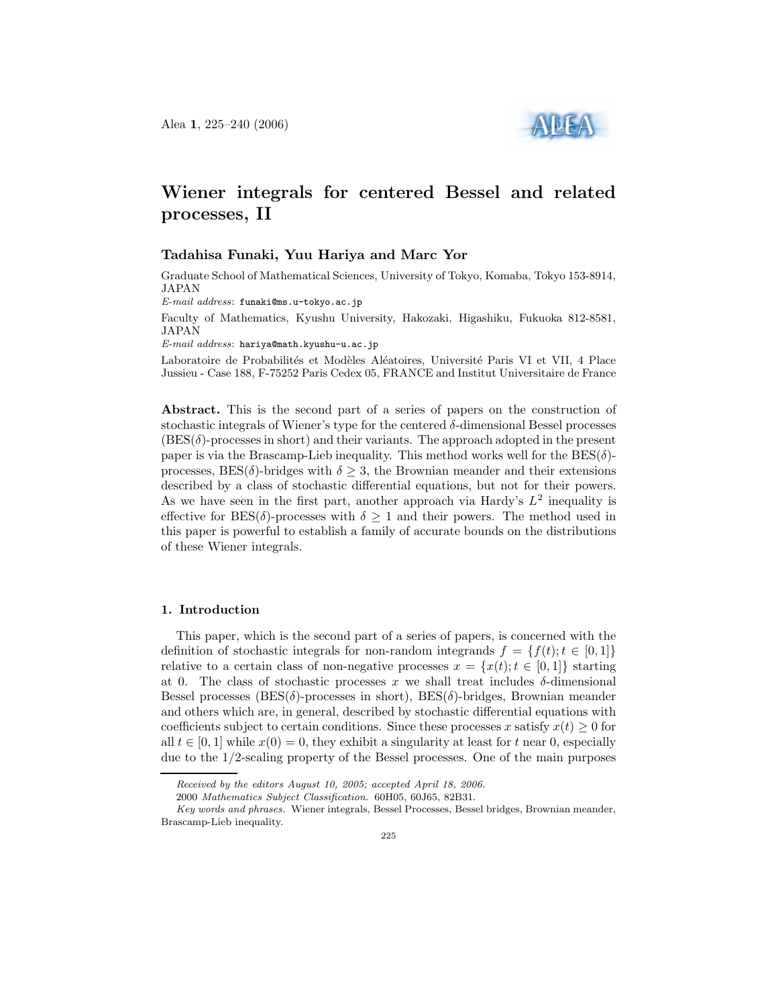

# Wiener integrals for centered Bessel and related processes, II

## Tadahisa Funaki, Yuu Hariya and Marc Yor

Graduate School of Mathematical Sciences, University of Tokyo, Komaba, Tokyo 153-8914, JAPAN

E-mail address: funaki@ms.u-tokyo.ac.jp

Faculty of Mathematics, Kyushu University, Hakozaki, Higashiku, Fukuoka 812-8581, JAPAN

E-mail address: hariya@math.kyushu-u.ac.jp

Laboratoire de Probabilités et Modèles Aléatoires, Université Paris VI et VII, 4 Place Jussieu - Case 188, F-75252 Paris Cedex 05, FRANCE and Institut Universitaire de France

Abstract. This is the second part of a series of papers on the construction of stochastic integrals of Wiener's type for the centered  $\delta$ -dimensional Bessel processes  $(BES(\delta)$ -processes in short) and their variants. The approach adopted in the present paper is via the Brascamp-Lieb inequality. This method works well for the  $BES(\delta)$ processes,  $BES(\delta)$ -bridges with  $\delta > 3$ , the Brownian meander and their extensions described by a class of stochastic differential equations, but not for their powers. As we have seen in the first part, another approach via Hardy's  $L^2$  inequality is effective for BES( $\delta$ )-processes with  $\delta \geq 1$  and their powers. The method used in this paper is powerful to establish a family of accurate bounds on the distributions of these Wiener integrals.

#### 1. Introduction

This paper, which is the second part of a series of papers, is concerned with the definition of stochastic integrals for non-random integrands  $f = \{f(t); t \in [0, 1]\}\$ relative to a certain class of non-negative processes  $x = \{x(t); t \in [0,1]\}\$  starting at 0. The class of stochastic processes x we shall treat includes  $\delta$ -dimensional Bessel processes (BES( $\delta$ )-processes in short), BES( $\delta$ )-bridges, Brownian meander and others which are, in general, described by stochastic differential equations with coefficients subject to certain conditions. Since these processes x satisfy  $x(t) \geq 0$  for all  $t \in [0, 1]$  while  $x(0) = 0$ , they exhibit a singularity at least for t near 0, especially due to the 1/2-scaling property of the Bessel processes. One of the main purposes

Received by the editors August 10, 2005; accepted April 18, 2006.

<sup>2000</sup> Mathematics Subject Classification. 60H05, 60J65, 82B31.

Key words and phrases. Wiener integrals, Bessel Processes, Bessel bridges, Brownian meander, Brascamp-Lieb inequality.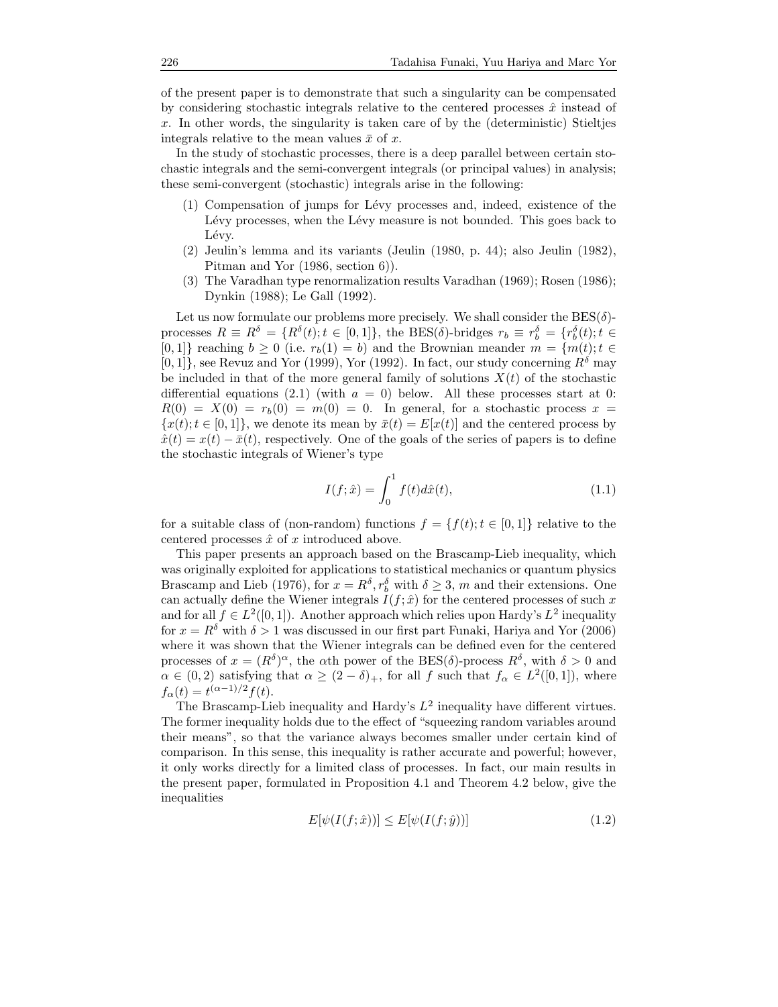of the present paper is to demonstrate that such a singularity can be compensated by considering stochastic integrals relative to the centered processes  $\hat{x}$  instead of x. In other words, the singularity is taken care of by the (deterministic) Stieltjes integrals relative to the mean values  $\bar{x}$  of x.

In the study of stochastic processes, there is a deep parallel between certain stochastic integrals and the semi-convergent integrals (or principal values) in analysis; these semi-convergent (stochastic) integrals arise in the following:

- (1) Compensation of jumps for L´evy processes and, indeed, existence of the Lévy processes, when the Lévy measure is not bounded. This goes back to Lévy.
- (2) Jeulin's lemma and its variants (Jeulin (1980, p. 44); also Jeulin (1982), Pitman and Yor (1986, section 6)).
- (3) The Varadhan type renormalization results Varadhan (1969); Rosen (1986); Dynkin (1988); Le Gall (1992).

Let us now formulate our problems more precisely. We shall consider the  $BES(\delta)$ processes  $R \equiv R^{\delta} = \{R^{\delta}(t); t \in [0,1]\},\$  the BES( $\delta$ )-bridges  $r_b \equiv r_b^{\delta} = \{r_b^{\delta}(t); t \in [0,1]\}$ [0, 1]} reaching  $b \ge 0$  (i.e.  $r_b(1) = b$ ) and the Brownian meander  $m = \{m(t); t \in$  $[0,1]$ , see Revuz and Yor (1999), Yor (1992). In fact, our study concerning  $R^{\delta}$  may be included in that of the more general family of solutions  $X(t)$  of the stochastic differential equations (2.1) (with  $a = 0$ ) below. All these processes start at 0:  $R(0) = X(0) = r<sub>b</sub>(0) = m(0) = 0$ . In general, for a stochastic process  $x =$  ${x(t); t \in [0, 1]}$ , we denote its mean by  $\bar{x}(t) = E[x(t)]$  and the centered process by  $\hat{x}(t) = x(t) - \bar{x}(t)$ , respectively. One of the goals of the series of papers is to define the stochastic integrals of Wiener's type

$$
I(f; \hat{x}) = \int_0^1 f(t) d\hat{x}(t),
$$
\n(1.1)

for a suitable class of (non-random) functions  $f = \{f(t); t \in [0, 1]\}$  relative to the centered processes  $\hat{x}$  of x introduced above.

This paper presents an approach based on the Brascamp-Lieb inequality, which was originally exploited for applications to statistical mechanics or quantum physics Brascamp and Lieb (1976), for  $x = R^{\delta}, r^{\delta}$  with  $\delta \geq 3$ , m and their extensions. One can actually define the Wiener integrals  $I(f; \hat{x})$  for the centered processes of such x and for all  $f \in L^2([0,1])$ . Another approach which relies upon Hardy's  $L^2$  inequality for  $x = R^{\delta}$  with  $\delta > 1$  was discussed in our first part Funaki, Hariya and Yor (2006) where it was shown that the Wiener integrals can be defined even for the centered processes of  $x = (R^{\delta})^{\alpha}$ , the  $\alpha$ th power of the BES( $\delta$ )-process  $R^{\delta}$ , with  $\delta > 0$  and  $\alpha \in (0, 2)$  satisfying that  $\alpha \ge (2 - \delta)_+$ , for all f such that  $f_\alpha \in L^2([0, 1])$ , where  $f_{\alpha}(t) = t^{(\alpha - 1)/2} f(t).$ 

The Brascamp-Lieb inequality and Hardy's  $L^2$  inequality have different virtues. The former inequality holds due to the effect of "squeezing random variables around their means", so that the variance always becomes smaller under certain kind of comparison. In this sense, this inequality is rather accurate and powerful; however, it only works directly for a limited class of processes. In fact, our main results in the present paper, formulated in Proposition 4.1 and Theorem 4.2 below, give the inequalities

$$
E[\psi(I(f; \hat{x}))] \le E[\psi(I(f; \hat{y}))]
$$
\n(1.2)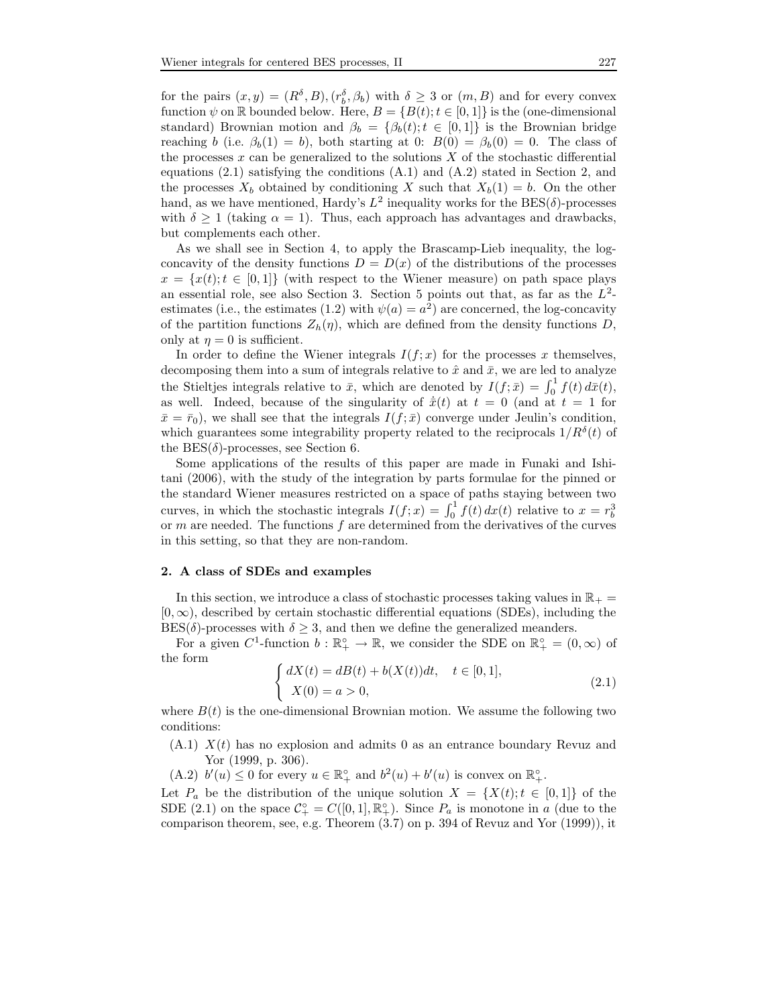for the pairs  $(x, y) = (R^{\delta}, B), (r^{\delta}, \beta_b)$  with  $\delta \geq 3$  or  $(m, B)$  and for every convex function  $\psi$  on R bounded below. Here,  $B = \{B(t); t \in [0,1]\}$  is the (one-dimensional standard) Brownian motion and  $\beta_b = {\beta_b(t); t \in [0,1]}$  is the Brownian bridge reaching b (i.e.  $\beta_b(1) = b$ ), both starting at 0:  $B(0) = \beta_b(0) = 0$ . The class of the processes  $x$  can be generalized to the solutions  $X$  of the stochastic differential equations  $(2.1)$  satisfying the conditions  $(A.1)$  and  $(A.2)$  stated in Section 2, and the processes  $X_b$  obtained by conditioning X such that  $X_b(1) = b$ . On the other hand, as we have mentioned, Hardy's  $L^2$  inequality works for the  $\text{BES}(\delta)$ -processes with  $\delta > 1$  (taking  $\alpha = 1$ ). Thus, each approach has advantages and drawbacks, but complements each other.

As we shall see in Section 4, to apply the Brascamp-Lieb inequality, the logconcavity of the density functions  $D = D(x)$  of the distributions of the processes  $x = \{x(t); t \in [0,1]\}$  (with respect to the Wiener measure) on path space plays an essential role, see also Section 3. Section 5 points out that, as far as the  $L^2$ estimates (i.e., the estimates (1.2) with  $\psi(a) = a^2$ ) are concerned, the log-concavity of the partition functions  $Z_h(\eta)$ , which are defined from the density functions D, only at  $\eta = 0$  is sufficient.

In order to define the Wiener integrals  $I(f; x)$  for the processes x themselves, decomposing them into a sum of integrals relative to  $\hat{x}$  and  $\bar{x}$ , we are led to analyze the Stieltjes integrals relative to  $\bar{x}$ , which are denoted by  $I(f; \bar{x}) = \int_0^1 f(t) d\bar{x}(t)$ , as well. Indeed, because of the singularity of  $\dot{\bar{x}}(t)$  at  $t = 0$  (and at  $t = 1$  for  $\bar{x} = \bar{r}_0$ , we shall see that the integrals  $I(f; \bar{x})$  converge under Jeulin's condition, which guarantees some integrability property related to the reciprocals  $1/R^{\delta}(t)$  of the  $BES(\delta)$ -processes, see Section 6.

Some applications of the results of this paper are made in Funaki and Ishitani (2006), with the study of the integration by parts formulae for the pinned or the standard Wiener measures restricted on a space of paths staying between two curves, in which the stochastic integrals  $I(f; x) = \int_0^1 f(t) dx(t)$  relative to  $x = r_b^3$ or  $m$  are needed. The functions  $f$  are determined from the derivatives of the curves in this setting, so that they are non-random.

## 2. A class of SDEs and examples

In this section, we introduce a class of stochastic processes taking values in  $\mathbb{R}_+$  =  $[0, \infty)$ , described by certain stochastic differential equations (SDEs), including the  $BES(\delta)$ -processes with  $\delta \geq 3$ , and then we define the generalized meanders.

For a given  $C^1$ -function  $b : \mathbb{R}^{\circ}_+ \to \mathbb{R}$ , we consider the SDE on  $\mathbb{R}^{\circ}_+ = (0, \infty)$  of the form

$$
\begin{cases} dX(t) = dB(t) + b(X(t))dt, & t \in [0,1],\\ X(0) = a > 0, \end{cases}
$$
\n(2.1)

where  $B(t)$  is the one-dimensional Brownian motion. We assume the following two conditions:

- $(A.1)$   $X(t)$  has no explosion and admits 0 as an entrance boundary Revuz and Yor (1999, p. 306).
- (A.2)  $b'(u) \leq 0$  for every  $u \in \mathbb{R}_{+}^{\circ}$  and  $b^2(u) + b'(u)$  is convex on  $\mathbb{R}_{+}^{\circ}$ .

Let  $P_a$  be the distribution of the unique solution  $X = \{X(t); t \in [0,1]\}$  of the SDE (2.1) on the space  $\mathcal{C}_{+}^{\circ} = C([0,1], \mathbb{R}_{+}^{\circ})$ . Since  $P_a$  is monotone in a (due to the comparison theorem, see, e.g. Theorem (3.7) on p. 394 of Revuz and Yor (1999)), it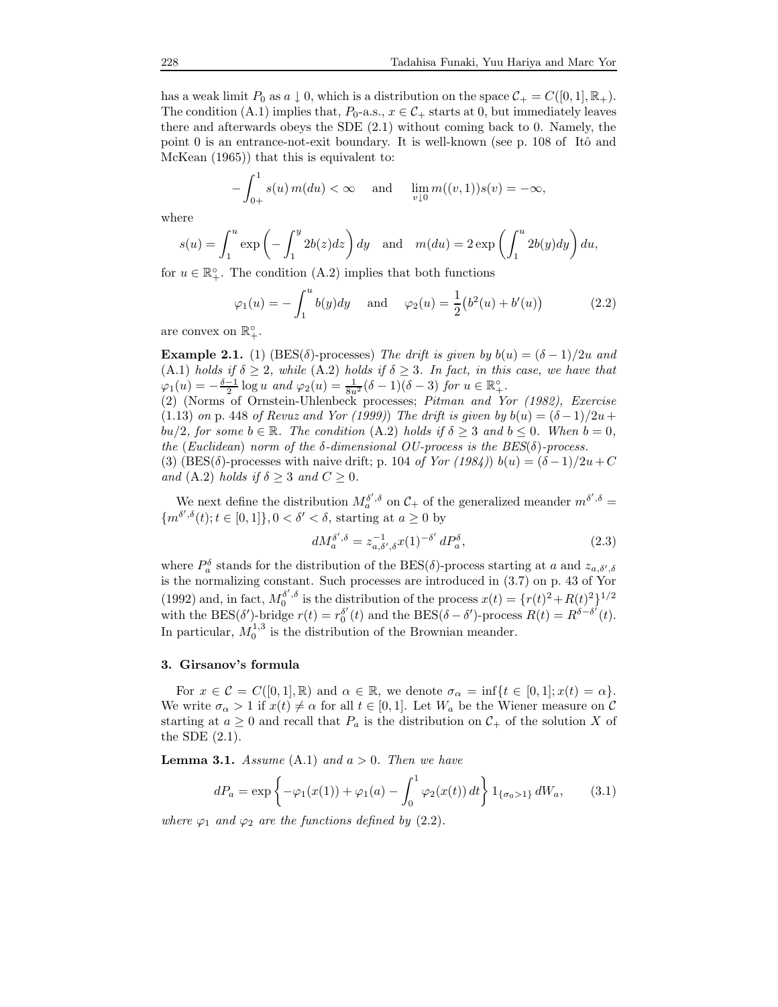has a weak limit  $P_0$  as  $a \downarrow 0$ , which is a distribution on the space  $C_+ = C([0, 1], \mathbb{R}_+).$ The condition (A.1) implies that,  $P_0$ -a.s.,  $x \in C_+$  starts at 0, but immediately leaves there and afterwards obeys the SDE (2.1) without coming back to 0. Namely, the point 0 is an entrance-not-exit boundary. It is well-known (see p.  $108$  of Itô and McKean (1965)) that this is equivalent to:

$$
-\int_{0+}^{1} s(u) m(du) < \infty \quad \text{and} \quad \lim_{v \downarrow 0} m((v, 1)) s(v) = -\infty,
$$

where

$$
s(u) = \int_1^u \exp\left(-\int_1^y 2b(z)dz\right)dy \quad \text{and} \quad m(du) = 2\exp\left(\int_1^u 2b(y)dy\right)du,
$$

for  $u \in \mathbb{R}_{+}^{\circ}$ . The condition (A.2) implies that both functions

$$
\varphi_1(u) = -\int_1^u b(y)dy
$$
 and  $\varphi_2(u) = \frac{1}{2}(b^2(u) + b'(u))$  (2.2)

are convex on  $\mathbb{R}^{\circ}_+$ .

**Example 2.1.** (1) (BES( $\delta$ )-processes) The drift is given by  $b(u) = (\delta - 1)/2u$  and (A.1) holds if  $\delta \geq 2$ , while (A.2) holds if  $\delta \geq 3$ . In fact, in this case, we have that  $\varphi_1(u) = -\frac{\delta - 1}{2} \log u$  and  $\varphi_2(u) = \frac{1}{8u^2} (\delta - 1)(\delta - 3)$  for  $u \in \mathbb{R}_+^{\circ}$ .

(2) (Norms of Ornstein-Uhlenbeck processes; Pitman and Yor (1982), Exercise (1.13) on p. 448 of Revuz and Yor (1999)) The drift is given by  $b(u) = (\delta - 1)/2u +$  $bu/2$ , for some  $b \in \mathbb{R}$ . The condition (A.2) holds if  $\delta \geq 3$  and  $b \leq 0$ . When  $b = 0$ , the (Euclidean) norm of the  $\delta$ -dimensional OU-process is the BES( $\delta$ )-process. (3) (BES( $\delta$ )-processes with naive drift; p. 104 of Yor (1984)) b(u) =  $(\delta - 1)/2u + C$ and (A.2) holds if  $\delta \geq 3$  and  $C \geq 0$ .

We next define the distribution  $M_a^{\delta',\delta}$  on  $\mathcal{C}_+$  of the generalized meander  $m^{\delta',\delta} =$  ${m^{\delta',\delta}(t)}$ ;  $t \in [0,1]$ ,  $0 < \delta' < \delta$ , starting at  $a \geq 0$  by

$$
dM_a^{\delta',\delta} = z_{a,\delta',\delta}^{-1} x(1)^{-\delta'} dP_a^{\delta},\tag{2.3}
$$

where  $P_a^{\delta}$  stands for the distribution of the BES( $\delta$ )-process starting at a and  $z_{a,\delta',\delta}$ is the normalizing constant. Such processes are introduced in (3.7) on p. 43 of Yor (1992) and, in fact,  $M_0^{\delta',\delta}$  is the distribution of the process  $x(t) = \{r(t)^2 + R(t)^2\}^{1/2}$ with the BES( $\delta'$ )-bridge  $r(t) = r_0^{\delta'}$  $\delta'(t)$  and the BES( $\delta - \delta'$ )-process  $R(t) = R^{\delta - \delta'}(t)$ . In particular,  $M_0^{1,3}$  is the distribution of the Brownian meander.

## 3. Girsanov's formula

For  $x \in \mathcal{C} = C([0,1], \mathbb{R})$  and  $\alpha \in \mathbb{R}$ , we denote  $\sigma_{\alpha} = \inf\{t \in [0,1]; x(t) = \alpha\}.$ We write  $\sigma_{\alpha} > 1$  if  $x(t) \neq \alpha$  for all  $t \in [0,1]$ . Let  $W_a$  be the Wiener measure on C starting at  $a \geq 0$  and recall that  $P_a$  is the distribution on  $\mathcal{C}_+$  of the solution X of the SDE (2.1).

**Lemma 3.1.** Assume  $(A.1)$  and  $a > 0$ . Then we have

$$
dP_a = \exp\left\{-\varphi_1(x(1)) + \varphi_1(a) - \int_0^1 \varphi_2(x(t)) dt\right\} 1_{\{\sigma_0 > 1\}} dW_a, \quad (3.1)
$$

where  $\varphi_1$  and  $\varphi_2$  are the functions defined by (2.2).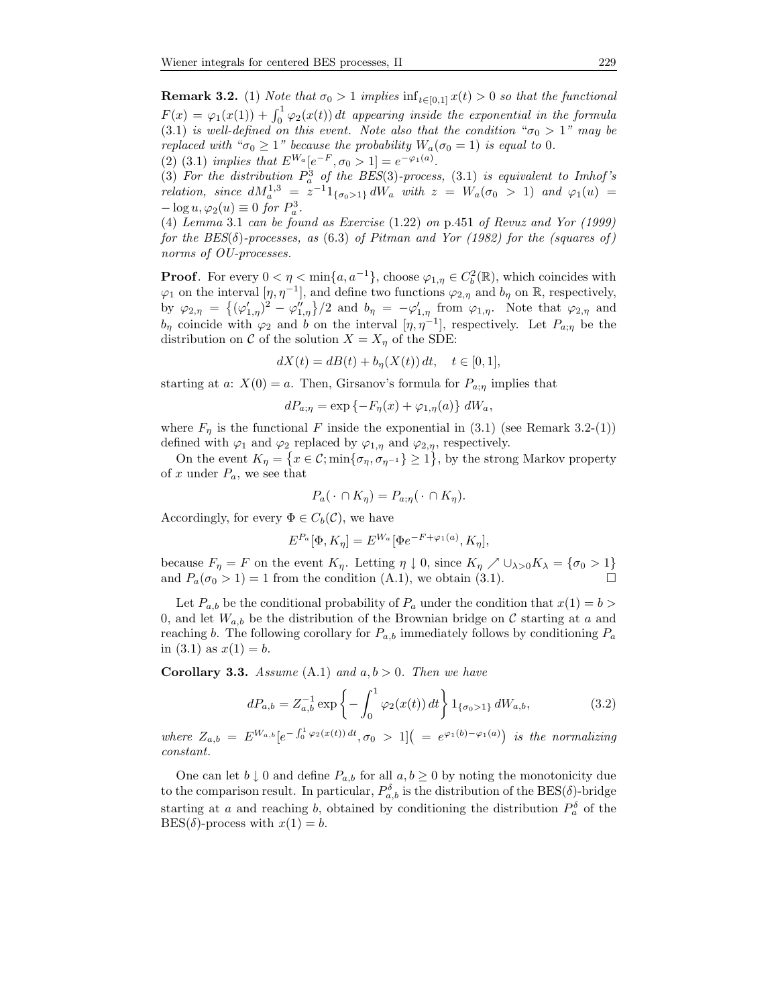**Remark 3.2.** (1) Note that  $\sigma_0 > 1$  implies  $\inf_{t \in [0,1]} x(t) > 0$  so that the functional  $F(x) = \varphi_1(x(1)) + \int_0^1 \varphi_2(x(t)) dt$  appearing inside the exponential in the formula (3.1) is well-defined on this event. Note also that the condition " $\sigma_0 > 1$ " may be replaced with " $\sigma_0 \geq 1$ " because the probability  $W_a(\sigma_0 = 1)$  is equal to 0. (2) (3.1) implies that  $E^{W_a}[e^{-F}, \sigma_0 > 1] = e^{-\varphi_1(a)}$ .

(3) For the distribution  $P_a^3$  of the BES(3)-process, (3.1) is equivalent to Imhof's relation, since  $dM_a^{1,3} = z^{-1}1_{\{\sigma_0 > 1\}} dW_a$  with  $z = W_a(\sigma_0 > 1)$  and  $\varphi_1(u) =$  $-\log u, \varphi_2(u) \equiv 0$  for  $P_a^3$ .

(4) Lemma 3.1 can be found as Exercise (1.22) on p.451 of Revuz and Yor (1999) for the  $BES(\delta)$ -processes, as (6.3) of Pitman and Yor (1982) for the (squares of) norms of OU-processes.

**Proof.** For every  $0 < \eta < \min\{a, a^{-1}\}\$ , choose  $\varphi_{1,\eta} \in C_b^2(\mathbb{R})$ , which coincides with  $\varphi_1$  on the interval  $[\eta, \eta^{-1}]$ , and define two functions  $\varphi_{2,\eta}$  and  $b_{\eta}$  on R, respectively, by  $\varphi_{2,\eta} = \left\{ (\varphi'_{1,\eta})^2 - \varphi''_{1,\eta} \right\} / 2$  and  $b_{\eta} = -\varphi'_{1,\eta}$  from  $\varphi_{1,\eta}$ . Note that  $\varphi_{2,\eta}$  and  $b_{\eta}$  coincide with  $\varphi_2$  and b on the interval  $[\eta, \eta^{-1}]$ , respectively. Let  $P_{a;\eta}$  be the distribution on  $C$  of the solution  $X = X_n$  of the SDE:

$$
dX(t)=dB(t)+b_{\eta}(X(t))\,dt,\quad t\in[0,1],
$$

starting at a:  $X(0) = a$ . Then, Girsanov's formula for  $P_{a;\eta}$  implies that

$$
dP_{a;\eta} = \exp\left\{-F_{\eta}(x) + \varphi_{1,\eta}(a)\right\} dW_a,
$$

where  $F_n$  is the functional F inside the exponential in (3.1) (see Remark 3.2-(1)) defined with  $\varphi_1$  and  $\varphi_2$  replaced by  $\varphi_{1,\eta}$  and  $\varphi_{2,\eta}$ , respectively.

On the event  $K_{\eta} = \{x \in \mathcal{C}; \min\{\sigma_{\eta}, \sigma_{\eta^{-1}}\} \ge 1\}$ , by the strong Markov property of x under  $P_a$ , we see that

$$
P_a(\cdot \cap K_\eta) = P_{a;\eta}(\cdot \cap K_\eta).
$$

Accordingly, for every  $\Phi \in C_b(\mathcal{C})$ , we have

$$
E^{P_a}[\Phi, K_\eta] = E^{W_a}[\Phi e^{-F + \varphi_1(a)}, K_\eta],
$$

because  $F_{\eta} = F$  on the event  $K_{\eta}$ . Letting  $\eta \downarrow 0$ , since  $K_{\eta} \nearrow \cup_{\lambda > 0} K_{\lambda} = {\sigma_0 > 1}$ and  $P_a(\sigma_0 > 1) = 1$  from the condition (A.1), we obtain (3.1).

Let  $P_{a,b}$  be the conditional probability of  $P_a$  under the condition that  $x(1) = b$ 0, and let  $W_{a,b}$  be the distribution of the Brownian bridge on C starting at a and reaching b. The following corollary for  $P_{a,b}$  immediately follows by conditioning  $P_a$ in  $(3.1)$  as  $x(1) = b$ .

**Corollary 3.3.** Assume  $(A.1)$  and  $a, b > 0$ . Then we have

$$
dP_{a,b} = Z_{a,b}^{-1} \exp\left\{-\int_0^1 \varphi_2(x(t)) dt\right\} 1_{\{\sigma_0 > 1\}} dW_{a,b},\tag{3.2}
$$

where  $Z_{a,b} = E^{W_{a,b}}[e^{-\int_0^1 \varphi_2(x(t)) dt}, \sigma_0 > 1]$  =  $e^{\varphi_1(b)-\varphi_1(a)}$  is the normalizing constant.

One can let  $b \downarrow 0$  and define  $P_{a,b}$  for all  $a, b \ge 0$  by noting the monotonicity due to the comparison result. In particular,  $P_{a,b}^{\delta}$  is the distribution of the BES( $\delta$ )-bridge starting at a and reaching b, obtained by conditioning the distribution  $P_a^{\delta}$  of the  $BES(\delta)$ -process with  $x(1) = b$ .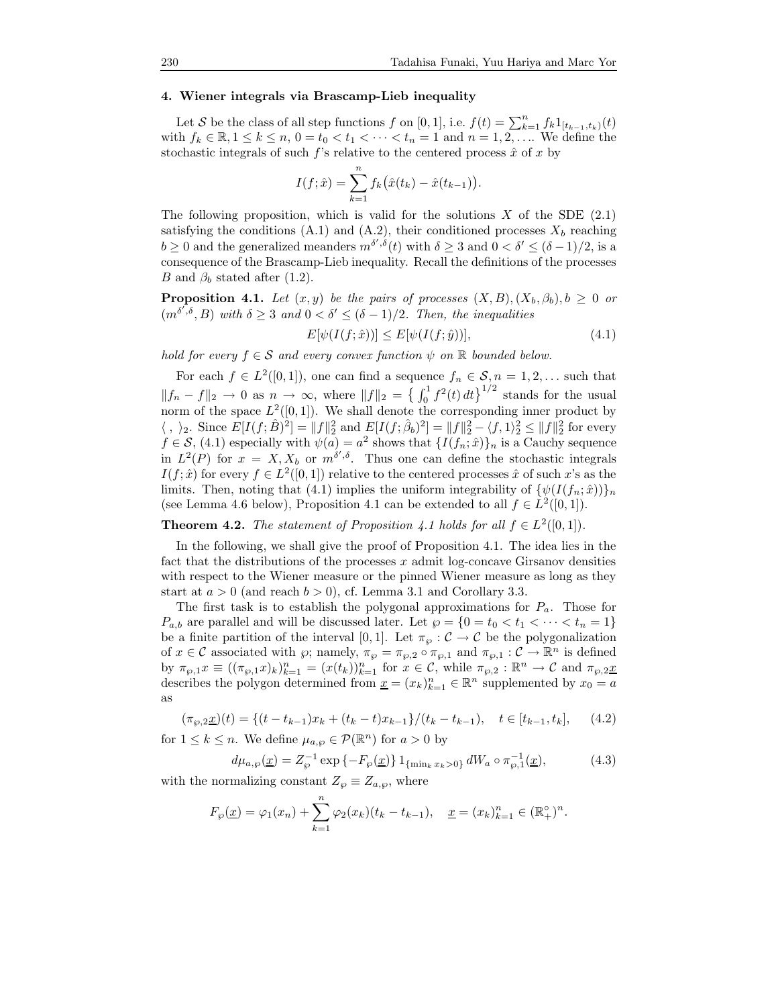## 4. Wiener integrals via Brascamp-Lieb inequality

Let S be the class of all step functions f on [0, 1], i.e.  $f(t) = \sum_{k=1}^{n} f_k 1_{[t_{k-1},t_k)}(t)$ with  $f_k \in \mathbb{R}, 1 \leq k \leq n, 0 = t_0 < t_1 < \cdots < t_n = 1$  and  $n = 1, 2, \ldots$  We define the stochastic integrals of such  $f$ 's relative to the centered process  $\hat{x}$  of x by

$$
I(f; \hat{x}) = \sum_{k=1}^{n} f_k(\hat{x}(t_k) - \hat{x}(t_{k-1})).
$$

The following proposition, which is valid for the solutions  $X$  of the SDE  $(2.1)$ satisfying the conditions (A.1) and (A.2), their conditioned processes  $X_b$  reaching  $b \ge 0$  and the generalized meanders  $m^{\delta',\delta}(t)$  with  $\delta \ge 3$  and  $0 < \delta' \le (\delta - 1)/2$ , is a consequence of the Brascamp-Lieb inequality. Recall the definitions of the processes B and  $\beta_b$  stated after (1.2).

**Proposition 4.1.** Let  $(x, y)$  be the pairs of processes  $(X, B), (X_b, \beta_b), b \geq 0$  or  $(m^{\delta^{\sigma},\delta}, B)$  with  $\delta \geq 3$  and  $0 < \delta' \leq (\delta - 1)/2$ . Then, the inequalities

$$
E[\psi(I(f; \hat{x}))] \le E[\psi(I(f; \hat{y}))],\tag{4.1}
$$

hold for every  $f \in S$  and every convex function  $\psi$  on  $\mathbb R$  bounded below.

For each  $f \in L^2([0,1])$ , one can find a sequence  $f_n \in \mathcal{S}, n = 1, 2, \ldots$  such that  $||f_n - f||_2 \to 0$  as  $n \to \infty$ , where  $||f||_2 = \left\{\int_0^1 f^2(t) dt\right\}^{1/2}$  stands for the usual norm of the space  $L^2([0,1])$ . We shall denote the corresponding inner product by  $\langle , \ \rangle_2$ . Since  $E[I(f; \hat{B})^2] = ||f||_2^2$  and  $E[I(f; \hat{\beta}_b)^2] = ||f||_2^2 - \langle f, 1 \rangle_2^2 \le ||f||_2^2$  for every  $f \in \mathcal{S}$ , (4.1) especially with  $\psi(a) = a^2$  shows that  $\{I(f_n; \hat{x})\}_n$  is a Cauchy sequence in  $L^2(P)$  for  $x = X, X_b$  or  $m^{\delta', \delta}$ . Thus one can define the stochastic integrals  $I(f; \hat{x})$  for every  $f \in L^2([0, 1])$  relative to the centered processes  $\hat{x}$  of such x's as the limits. Then, noting that (4.1) implies the uniform integrability of  ${\psi(I(f_n; \hat{x}))}_n$ (see Lemma 4.6 below), Proposition 4.1 can be extended to all  $f \in L^2([0,1])$ .

**Theorem 4.2.** The statement of Proposition 4.1 holds for all  $f \in L^2([0,1])$ .

In the following, we shall give the proof of Proposition 4.1. The idea lies in the fact that the distributions of the processes  $x$  admit log-concave Girsanov densities with respect to the Wiener measure or the pinned Wiener measure as long as they start at  $a > 0$  (and reach  $b > 0$ ), cf. Lemma 3.1 and Corollary 3.3.

The first task is to establish the polygonal approximations for  $P_a$ . Those for  $P_{a,b}$  are parallel and will be discussed later. Let  $\wp = \{0 = t_0 < t_1 < \cdots < t_n = 1\}$ be a finite partition of the interval [0, 1]. Let  $\pi_{\varphi} : C \to C$  be the polygonalization of  $x \in \mathcal{C}$  associated with  $\wp$ ; namely,  $\pi_{\wp} = \pi_{\wp,2} \circ \pi_{\wp,1}$  and  $\pi_{\wp,1} : \mathcal{C} \to \mathbb{R}^n$  is defined by  $\pi_{\wp,1}x \equiv ((\pi_{\wp,1}x)_k)_{k=1}^n = (x(t_k))_{k=1}^n$  for  $x \in \mathcal{C}$ , while  $\pi_{\wp,2} : \mathbb{R}^n \to \mathcal{C}$  and  $\pi_{\wp,2}x$ describes the polygon determined from  $\underline{x} = (x_k)_{k=1}^n \in \mathbb{R}^n$  supplemented by  $x_0 = a$ as

$$
(\pi_{\wp,2}\underline{x})(t) = \{(t - t_{k-1})x_k + (t_k - t)x_{k-1}\}/(t_k - t_{k-1}), \quad t \in [t_{k-1}, t_k], \quad (4.2)
$$

for  $1 \leq k \leq n$ . We define  $\mu_{a,\wp} \in \mathcal{P}(\mathbb{R}^n)$  for  $a > 0$  by

$$
d\mu_{a,\wp}(\underline{x}) = Z_{\wp}^{-1} \exp\left\{-F_{\wp}(\underline{x})\right\} 1_{\{\min_k x_k > 0\}} dW_a \circ \pi_{\wp,1}^{-1}(\underline{x}),\tag{4.3}
$$

with the normalizing constant  $Z_{\varphi} \equiv Z_{a,\varphi}$ , where

$$
F_{\wp}(\underline{x}) = \varphi_1(x_n) + \sum_{k=1}^n \varphi_2(x_k)(t_k - t_{k-1}), \quad \underline{x} = (x_k)_{k=1}^n \in (\mathbb{R}^{\circ})^n.
$$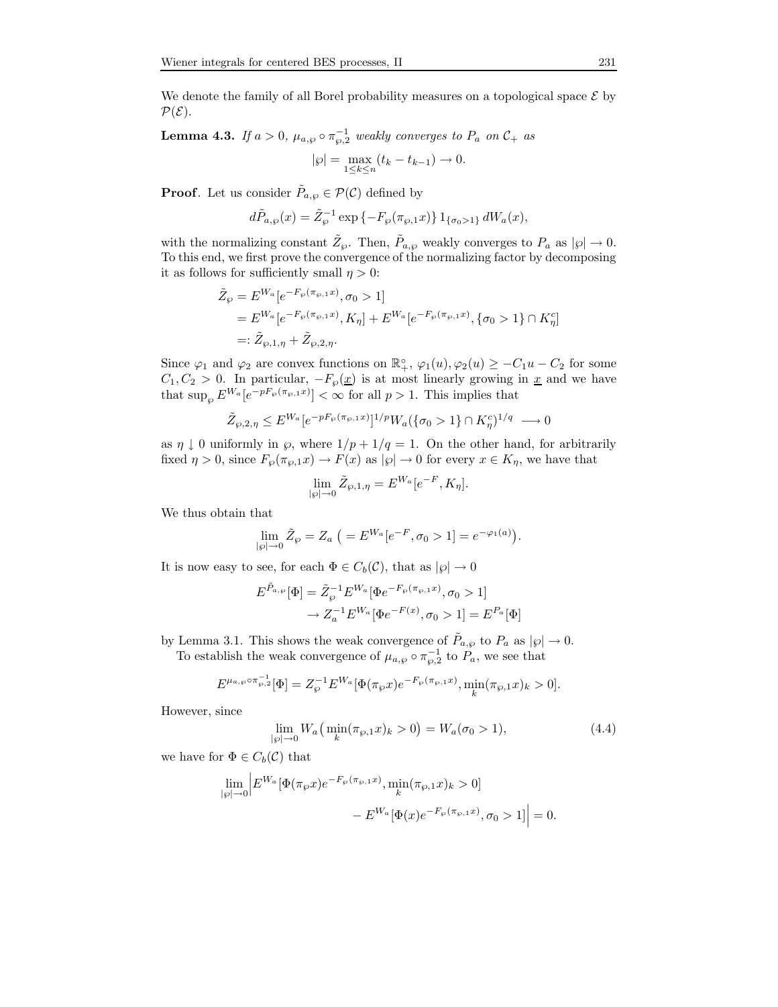We denote the family of all Borel probability measures on a topological space  $\mathcal E$  by  $\mathcal{P}(\mathcal{E})$ .

**Lemma 4.3.** If  $a > 0$ ,  $\mu_{a,\wp} \circ \pi_{\wp,2}^{-1}$  weakly converges to  $P_a$  on  $\mathcal{C}_+$  as

$$
|\wp| = \max_{1 \le k \le n} (t_k - t_{k-1}) \to 0.
$$

**Proof.** Let us consider  $\tilde{P}_{a,\wp} \in \mathcal{P}(\mathcal{C})$  defined by

$$
d\tilde{P}_{a,\wp}(x) = \tilde{Z}_{\wp}^{-1} \exp \{-F_{\wp}(\pi_{\wp,1}x)\} 1_{\{\sigma_0 > 1\}} dW_a(x),
$$

with the normalizing constant  $\tilde{Z}_{\wp}$ . Then,  $\tilde{P}_{a,\wp}$  weakly converges to  $P_a$  as  $|\wp| \to 0$ . To this end, we first prove the convergence of the normalizing factor by decomposing it as follows for sufficiently small  $\eta > 0$ :

$$
\begin{split} \tilde{Z}_{\wp} &= E^{W_a}[e^{-F_{\wp}(\pi_{\wp,1}x)}, \sigma_0 > 1] \\ &= E^{W_a}[e^{-F_{\wp}(\pi_{\wp,1}x)}, K_{\eta}] + E^{W_a}[e^{-F_{\wp}(\pi_{\wp,1}x)}, \{\sigma_0 > 1\} \cap K_{\eta}^c] \\ &=: \tilde{Z}_{\wp,1,\eta} + \tilde{Z}_{\wp,2,\eta}. \end{split}
$$

Since  $\varphi_1$  and  $\varphi_2$  are convex functions on  $\mathbb{R}^{\circ}_+$ ,  $\varphi_1(u)$ ,  $\varphi_2(u) \geq -C_1u - C_2$  for some  $C_1, C_2 > 0$ . In particular,  $-F_{\varphi}(\underline{x})$  is at most linearly growing in <u>x</u> and we have that  $\sup_{\wp} E^{W_a}[e^{-pF_{\wp}(\pi_{\wp,1}x)}] < \infty$  for all  $p > 1$ . This implies that

$$
\tilde{Z}_{\wp,2,\eta} \le E^{W_a} [e^{-pF_{\wp}(\pi_{\wp,1}x)}]^{1/p} W_a(\{\sigma_0 > 1\} \cap K^c_{\eta})^{1/q} \longrightarrow 0
$$

as  $\eta \downarrow 0$  uniformly in  $\wp$ , where  $1/p + 1/q = 1$ . On the other hand, for arbitrarily fixed  $\eta > 0$ , since  $F_{\wp}(\pi_{\wp,1}x) \to F(x)$  as  $|\wp| \to 0$  for every  $x \in K_{\eta}$ , we have that

$$
\lim_{|\wp| \to 0} \tilde{Z}_{\wp,1,\eta} = E^{W_a}[e^{-F}, K_{\eta}].
$$

We thus obtain that

$$
\lim_{|\wp| \to 0} \tilde{Z}_{\wp} = Z_a \ \big( = E^{W_a}[e^{-F}, \sigma_0 > 1] = e^{-\varphi_1(a)} \big).
$$

It is now easy to see, for each  $\Phi \in C_b(\mathcal{C})$ , that as  $|\wp| \to 0$ 

$$
E^{\tilde{P}_{a,\wp}}[\Phi] = \tilde{Z}_{\wp}^{-1} E^{W_a}[\Phi e^{-F_{\wp}(\pi_{\wp,1}x)}, \sigma_0 > 1] \\
\to Z_a^{-1} E^{W_a}[\Phi e^{-F(x)}, \sigma_0 > 1] = E^{P_a}[\Phi]
$$

by Lemma 3.1. This shows the weak convergence of  $\tilde{P}_{a,\wp}$  to  $P_a$  as  $|\wp| \to 0$ .

To establish the weak convergence of  $\mu_{a,\wp} \circ \pi_{\wp,2}^{-1}$  to  $P_a$ , we see that

$$
E^{\mu_{a,\wp}\circ\pi_{\wp,2}^{-1}}[\Phi] = Z_{\wp}^{-1} E^{W_a}[\Phi(\pi_{\wp}x)e^{-F_{\wp}(\pi_{\wp,1}x)}, \min_k(\pi_{\wp,1}x)_k > 0].
$$

However, since

$$
\lim_{|\wp| \to 0} W_a \left( \min_k (\pi_{\wp,1} x)_k > 0 \right) = W_a(\sigma_0 > 1), \tag{4.4}
$$

we have for  $\Phi \in C_b(\mathcal{C})$  that

$$
\lim_{|\wp|=0} \left| E^{W_a} [\Phi(\pi_{\wp} x) e^{-F_{\wp}(\pi_{\wp,1} x)}, \min_k (\pi_{\wp,1} x)_k > 0] - E^{W_a} [\Phi(x) e^{-F_{\wp}(\pi_{\wp,1} x)}, \sigma_0 > 1] \right| = 0.
$$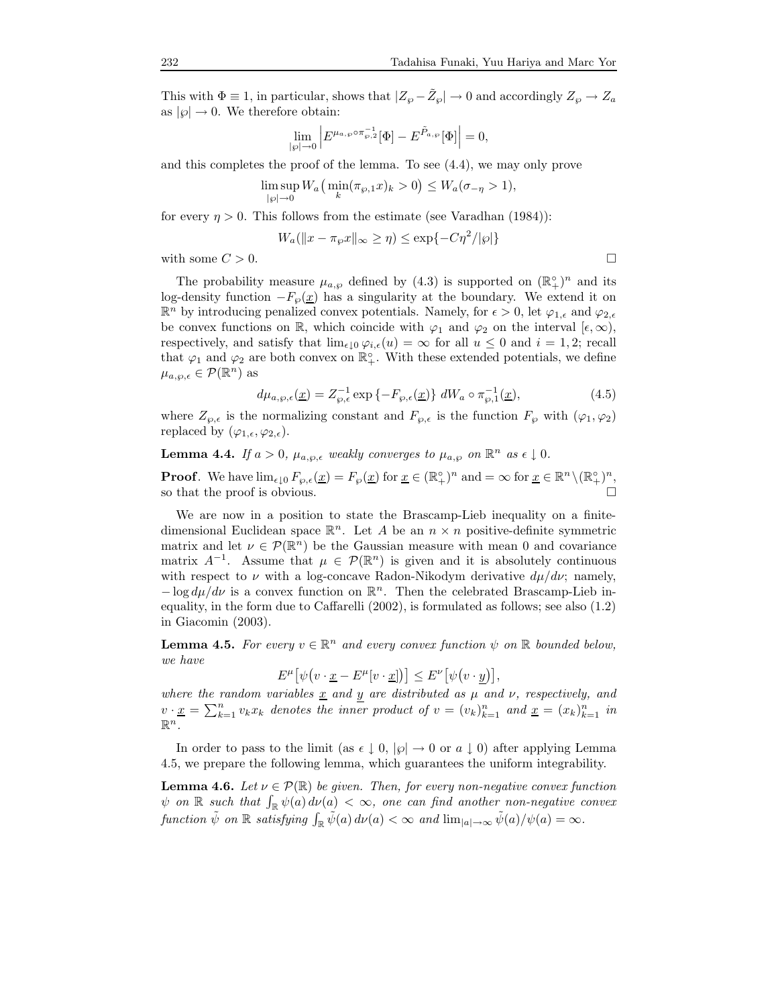This with  $\Phi \equiv 1$ , in particular, shows that  $|Z_{\wp} - \tilde{Z}_{\wp}| \to 0$  and accordingly  $Z_{\wp} \to Z_a$ as  $|\wp| \to 0$ . We therefore obtain:

$$
\lim_{|\varphi| \to 0} \left| E^{\mu_{a,\varphi} \circ \pi_{\varphi,2}^{-1}}[\Phi] - E^{\tilde{P}_{a,\varphi}}[\Phi] \right| = 0,
$$

and this completes the proof of the lemma. To see (4.4), we may only prove

$$
\limsup_{|\varphi| \to 0} W_a\left(\min_k(\pi_{\varphi,1}x)_k > 0\right) \le W_a(\sigma_{-\eta} > 1),
$$

for every  $\eta > 0$ . This follows from the estimate (see Varadhan (1984)):

$$
W_a(||x - \pi_{\wp}x||_{\infty} \ge \eta) \le \exp\{-C\eta^2/|\wp|\}
$$

with some  $C > 0$ .

The probability measure  $\mu_{a,\wp}$  defined by (4.3) is supported on  $(\mathbb{R}^{\circ}_{+})^n$  and its log-density function  $-F_{\wp}(\underline{x})$  has a singularity at the boundary. We extend it on  $\mathbb{R}^n$  by introducing penalized convex potentials. Namely, for  $\epsilon > 0$ , let  $\varphi_{1,\epsilon}$  and  $\varphi_{2,\epsilon}$ be convex functions on R, which coincide with  $\varphi_1$  and  $\varphi_2$  on the interval  $[\epsilon, \infty)$ , respectively, and satisfy that  $\lim_{\epsilon \downarrow 0} \varphi_{i,\epsilon}(u) = \infty$  for all  $u \leq 0$  and  $i = 1, 2$ ; recall that  $\varphi_1$  and  $\varphi_2$  are both convex on  $\mathbb{R}^{\circ}_+$ . With these extended potentials, we define  $\mu_{a,\wp,\epsilon} \in \mathcal{P}(\mathbb{R}^n)$  as

$$
d\mu_{a,\wp,\epsilon}(\underline{x}) = Z_{\wp,\epsilon}^{-1} \exp\left\{-F_{\wp,\epsilon}(\underline{x})\right\} dW_a \circ \pi_{\wp,1}^{-1}(\underline{x}),\tag{4.5}
$$

where  $Z_{\varphi,\epsilon}$  is the normalizing constant and  $F_{\varphi,\epsilon}$  is the function  $F_{\varphi}$  with  $(\varphi_1,\varphi_2)$ replaced by  $(\varphi_{1,\epsilon}, \varphi_{2,\epsilon}).$ 

**Lemma 4.4.** If  $a > 0$ ,  $\mu_{a,\wp,\epsilon}$  weakly converges to  $\mu_{a,\wp}$  on  $\mathbb{R}^n$  as  $\epsilon \downarrow 0$ .

**Proof.** We have  $\lim_{\epsilon \downarrow 0} F_{\varphi,\epsilon}(\underline{x}) = F_{\varphi}(\underline{x})$  for  $\underline{x} \in (\mathbb{R}^{\circ}_{+})^{n}$  and  $= \infty$  for  $\underline{x} \in \mathbb{R}^{n} \setminus (\mathbb{R}^{\circ}_{+})^{n}$ , so that the proof is obvious.

We are now in a position to state the Brascamp-Lieb inequality on a finitedimensional Euclidean space  $\mathbb{R}^n$ . Let A be an  $n \times n$  positive-definite symmetric matrix and let  $\nu \in \mathcal{P}(\mathbb{R}^n)$  be the Gaussian measure with mean 0 and covariance matrix  $A^{-1}$ . Assume that  $\mu \in \mathcal{P}(\mathbb{R}^n)$  is given and it is absolutely continuous with respect to  $\nu$  with a log-concave Radon-Nikodym derivative  $d\mu/d\nu$ ; namely, − log  $d\mu/d\nu$  is a convex function on  $\mathbb{R}^n$ . Then the celebrated Brascamp-Lieb inequality, in the form due to Caffarelli (2002), is formulated as follows; see also (1.2) in Giacomin (2003).

**Lemma 4.5.** For every  $v \in \mathbb{R}^n$  and every convex function  $\psi$  on  $\mathbb{R}$  bounded below, we have

$$
E^{\mu} \big[ \psi \big( v \cdot \underline{x} - E^{\mu} [v \cdot \underline{x}] \big) \big] \leq E^{\nu} \big[ \psi \big( v \cdot \underline{y} \big) \big],
$$

where the random variables  $\underline{x}$  and y are distributed as  $\mu$  and  $\nu$ , respectively, and  $v \cdot \underline{x} = \sum_{k=1}^{n} v_k x_k$  denotes the inner product of  $v = (v_k)_{k=1}^{n}$  and  $\underline{x} = (x_k)_{k=1}^{n}$  in  $\mathbb{R}^n$ .

In order to pass to the limit (as  $\epsilon \downarrow 0$ ,  $|\varphi| \rightarrow 0$  or  $a \downarrow 0$ ) after applying Lemma 4.5, we prepare the following lemma, which guarantees the uniform integrability.

**Lemma 4.6.** Let  $\nu \in \mathcal{P}(\mathbb{R})$  be given. Then, for every non-negative convex function  $\psi$  on  $\mathbb R$  such that  $\int_{\mathbb R} \psi(a) d\nu(a) < \infty$ , one can find another non-negative convex function  $\tilde{\psi}$  on  $\mathbb R$  satisfying  $\int_{\mathbb R} \tilde{\psi}(a) d\nu(a) < \infty$  and  $\lim_{|a| \to \infty} \tilde{\psi}(a) / \psi(a) = \infty$ .

$$
\Box
$$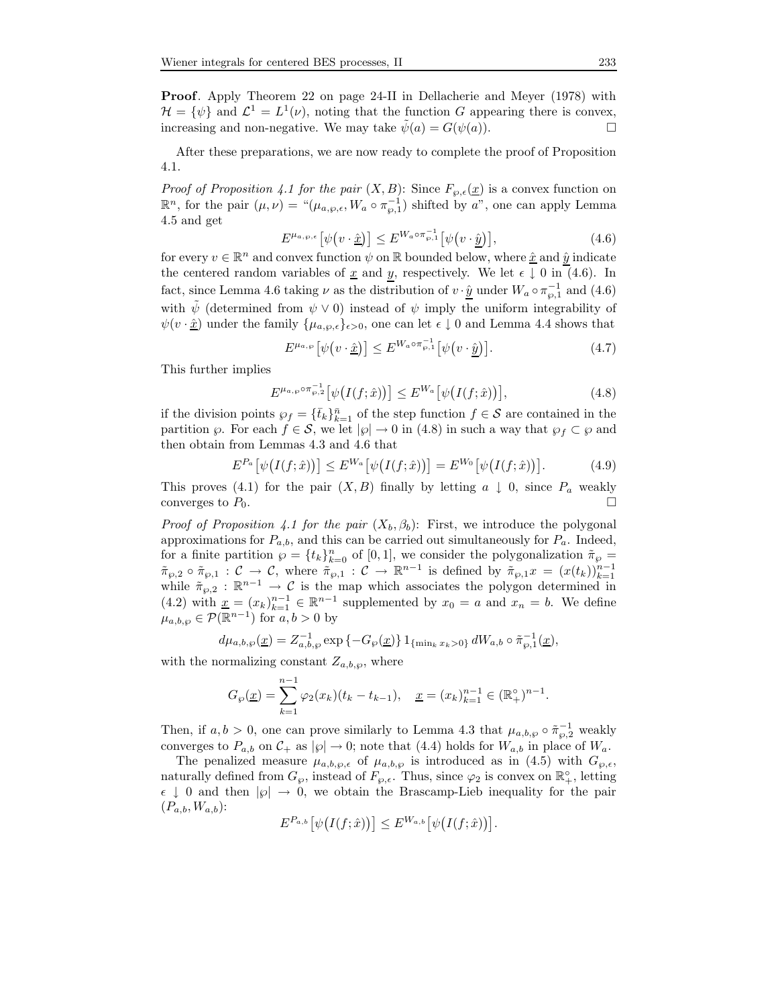Proof. Apply Theorem 22 on page 24-II in Dellacherie and Meyer (1978) with  $\mathcal{H} = \{\psi\}$  and  $\mathcal{L}^1 = L^1(\nu)$ , noting that the function G appearing there is convex, increasing and non-negative. We may take  $\psi(a) = G(\psi(a))$ .

After these preparations, we are now ready to complete the proof of Proposition 4.1.

*Proof of Proposition 4.1 for the pair*  $(X, B)$ : Since  $F_{\varphi,\epsilon}(\underline{x})$  is a convex function on  $\mathbb{R}^n$ , for the pair  $(\mu, \nu) = \mu_{a, \wp, \epsilon}, W_a \circ \pi_{\wp, 1}^{-1}$  shifted by a", one can apply Lemma 4.5 and get

$$
E^{\mu_{a,\wp,\epsilon}}\left[\psi(v \cdot \hat{\underline{x}})\right] \le E^{W_a \circ \pi_{\wp,1}^{-1}}\left[\psi(v \cdot \hat{\underline{y}})\right],\tag{4.6}
$$

for every  $v \in \mathbb{R}^n$  and convex function  $\psi$  on  $\mathbb R$  bounded below, where  $\underline{\hat{x}}$  and  $\underline{\hat{y}}$  indicate the centered random variables of x and y, respectively. We let  $\epsilon \downarrow 0$  in (4.6). In fact, since Lemma 4.6 taking  $\nu$  as the distribution of  $v \cdot \hat{y}$  under  $W_a \circ \pi_{\wp,1}^{-1}$  and  $(4.6)$ with  $\psi$  (determined from  $\psi \vee 0$ ) instead of  $\psi$  imply the uniform integrability of  $\psi(v \cdot \hat{\underline{x}})$  under the family  $\{\mu_{a,\varphi,\epsilon}\}_{{\epsilon} > 0}$ , one can let  $\epsilon \downarrow 0$  and Lemma 4.4 shows that

$$
E^{\mu_{a,\wp}}\left[\psi(v \cdot \hat{\underline{x}})\right] \le E^{W_a \circ \pi_{\wp,1}^{-1}}\left[\psi(v \cdot \hat{\underline{y}})\right].\tag{4.7}
$$

This further implies

$$
E^{\mu_{a,\wp}\circ\pi_{\wp,\cdot}^{-1}}\big[\psi\big(I(f;\hat{x})\big)\big] \le E^{W_a}\big[\psi\big(I(f;\hat{x})\big)\big],\tag{4.8}
$$

if the division points  $\wp_f = {\{\bar{t}_k\}}_{k=1}^{\bar{n}}$  of the step function  $f \in \mathcal{S}$  are contained in the partition  $\wp$ . For each  $f \in \mathcal{S}$ , we let  $|\wp| \to 0$  in (4.8) in such a way that  $\wp_f \subset \wp$  and then obtain from Lemmas 4.3 and 4.6 that

$$
E^{P_a}\left[\psi\big(I(f;\hat{x})\big)\right] \le E^{W_a}\left[\psi\big(I(f;\hat{x})\big)\right] = E^{W_0}\left[\psi\big(I(f;\hat{x})\big)\right].\tag{4.9}
$$

This proves (4.1) for the pair  $(X, B)$  finally by letting  $a \downarrow 0$ , since  $P_a$  weakly converges to  $P_a$ converges to  $P_0$ .

*Proof of Proposition 4.1 for the pair*  $(X_b, \beta_b)$ : First, we introduce the polygonal approximations for  $P_{a,b}$ , and this can be carried out simultaneously for  $P_a$ . Indeed, for a finite partition  $\wp = \{t_k\}_{k=0}^n$  of [0, 1], we consider the polygonalization  $\tilde{\pi}_{\wp} =$  $\tilde{\pi}_{\wp,2} \circ \tilde{\pi}_{\wp,1} : C \to C$ , where  $\tilde{\pi}_{\wp,1} : C \to \mathbb{R}^{n-1}$  is defined by  $\tilde{\pi}_{\wp,1} x = (x(t_k))_{k=1}^{n-1}$ while  $\tilde{\pi}_{\wp,2} : \mathbb{R}^{n-1} \to \mathcal{C}$  is the map which associates the polygon determined in (4.2) with  $\underline{x} = (x_k)_{k=1}^{n-1} \in \mathbb{R}^{n-1}$  supplemented by  $x_0 = a$  and  $x_n = b$ . We define  $\mu_{a,b,\wp} \in \mathcal{P}(\mathbb{R}^{n-1})$  for  $a, b > 0$  by

$$
d\mu_{a,b,\wp}(\underline{x}) = Z_{a,b,\wp}^{-1} \exp \left\{ -G_{\wp}(\underline{x}) \right\} 1_{\{\min_k x_k > 0\}} dW_{a,b} \circ \tilde{\pi}_{\wp,1}^{-1}(\underline{x}),
$$

with the normalizing constant  $Z_{a,b,\wp}$ , where

$$
G_{\wp}(\underline{x}) = \sum_{k=1}^{n-1} \varphi_2(x_k)(t_k - t_{k-1}), \quad \underline{x} = (x_k)_{k=1}^{n-1} \in (\mathbb{R}^{\circ})^{n-1}.
$$

Then, if  $a, b > 0$ , one can prove similarly to Lemma 4.3 that  $\mu_{a,b,\wp} \circ \tilde{\pi}_{\wp,2}^{-1}$  weakly converges to  $P_{a,b}$  on  $\mathcal{C}_+$  as  $|\wp| \to 0$ ; note that (4.4) holds for  $W_{a,b}$  in place of  $W_a$ .

The penalized measure  $\mu_{a,b,\wp,\epsilon}$  of  $\mu_{a,b,\wp}$  is introduced as in (4.5) with  $G_{\wp,\epsilon}$ , naturally defined from  $G_{\wp}$ , instead of  $F_{\wp,\epsilon}$ . Thus, since  $\varphi_2$  is convex on  $\mathbb{R}^{\circ}_+$ , letting  $\epsilon \downarrow 0$  and then  $|\wp| \to 0$ , we obtain the Brascamp-Lieb inequality for the pair  $(P_{a,b}, W_{a,b})$ :

$$
E^{P_{a,b}}\big[\psi\big(I(f;\hat{x})\big)\big] \leq E^{W_{a,b}}\big[\psi\big(I(f;\hat{x})\big)\big].
$$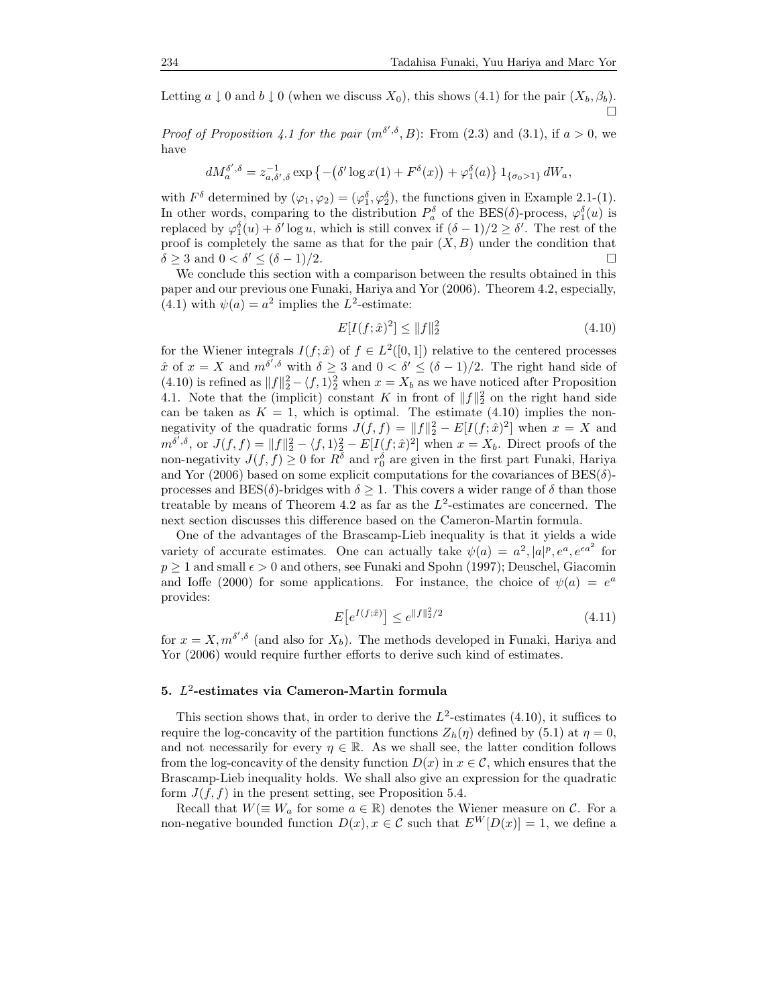Letting  $a \downarrow 0$  and  $b \downarrow 0$  (when we discuss  $X_0$ ), this shows (4.1) for the pair  $(X_b, \beta_b)$ .  $\Box$ 

*Proof of Proposition 4.1 for the pair*  $(m^{\delta', \delta}, B)$ : From (2.3) and (3.1), if  $a > 0$ , we have

$$
dM_{a}^{\delta',\delta}=z_{a,\delta',\delta}^{-1}\exp\left\{-\left(\delta'\log x(1)+F^\delta(x)\right)+\varphi_1^\delta(a)\right\}1_{\{\sigma_0>1\}}dW_a,
$$

with  $F^{\delta}$  determined by  $(\varphi_1, \varphi_2) = (\varphi_1^{\delta}, \varphi_2^{\delta})$ , the functions given in Example 2.1-(1). In other words, comparing to the distribution  $P_a^{\delta}$  of the BES( $\delta$ )-process,  $\varphi_1^{\delta}(u)$  is replaced by  $\varphi_1^{\delta}(u) + \delta' \log u$ , which is still convex if  $(\delta - 1)/2 \ge \delta'$ . The rest of the proof is completely the same as that for the pair  $(X, B)$  under the condition that  $\delta \geq 3$  and  $0 < \delta' \leq (\delta - 1)/2$ .  $\sqrt{2} \le (\delta - 1)/2.$ 

We conclude this section with a comparison between the results obtained in this paper and our previous one Funaki, Hariya and Yor (2006). Theorem 4.2, especially, (4.1) with  $\psi(a) = a^2$  implies the L<sup>2</sup>-estimate:

$$
E[I(f; \hat{x})^2] \le ||f||_2^2 \tag{4.10}
$$

for the Wiener integrals  $I(f; \hat{x})$  of  $f \in L^2([0, 1])$  relative to the centered processes  $\hat{x}$  of  $x = X$  and  $m^{\delta'}, \delta$  with  $\delta \geq 3$  and  $0 < \delta' \leq (\delta - 1)/2$ . The right hand side of (4.10) is refined as  $||f||_2^2 - \langle f, 1 \rangle_2^2$  when  $x = X_b$  as we have noticed after Proposition 4.1. Note that the (implicit) constant K in front of  $||f||_2^2$  on the right hand side can be taken as  $K = 1$ , which is optimal. The estimate (4.10) implies the nonnegativity of the quadratic forms  $J(f, f) = ||f||_2^2 - E[I(f; \hat{x})^2]$  when  $x = X$  and  $m^{\delta',\delta}$ , or  $J(f, f) = ||f||_2^2 - \langle f, 1 \rangle_2^2 - E[I(f, \hat{x})^2]$  when  $x = X_b$ . Direct proofs of the non-negativity  $J(f, f) \geq 0$  for  $R^{\delta}$  and  $r_0^{\delta}$  are given in the first part Funaki, Hariya and Yor (2006) based on some explicit computations for the covariances of  $BES(\delta)$ processes and BES( $\delta$ )-bridges with  $\delta \geq 1$ . This covers a wider range of  $\delta$  than those treatable by means of Theorem 4.2 as far as the  $L^2$ -estimates are concerned. The next section discusses this difference based on the Cameron-Martin formula.

One of the advantages of the Brascamp-Lieb inequality is that it yields a wide variety of accurate estimates. One can actually take  $\psi(a) = a^2$ ,  $|a|^p$ ,  $e^a$ ,  $e^{\epsilon a^2}$  for  $p \geq 1$  and small  $\epsilon > 0$  and others, see Funaki and Spohn (1997); Deuschel, Giacomin and Ioffe (2000) for some applications. For instance, the choice of  $\psi(a) = e^a$ provides:

$$
E\left[e^{I(f;\hat{x})}\right] \le e^{\|f\|_2^2/2} \tag{4.11}
$$

for  $x = X, m^{\delta', \delta}$  (and also for  $X_b$ ). The methods developed in Funaki, Hariya and Yor (2006) would require further efforts to derive such kind of estimates.

# 5. L 2 -estimates via Cameron-Martin formula

This section shows that, in order to derive the  $L^2$ -estimates (4.10), it suffices to require the log-concavity of the partition functions  $Z_h(\eta)$  defined by (5.1) at  $\eta = 0$ , and not necessarily for every  $\eta \in \mathbb{R}$ . As we shall see, the latter condition follows from the log-concavity of the density function  $D(x)$  in  $x \in \mathcal{C}$ , which ensures that the Brascamp-Lieb inequality holds. We shall also give an expression for the quadratic form  $J(f, f)$  in the present setting, see Proposition 5.4.

Recall that  $W(\equiv W_a$  for some  $a \in \mathbb{R}$ ) denotes the Wiener measure on C. For a non-negative bounded function  $D(x)$ ,  $x \in \mathcal{C}$  such that  $E^W[D(x)] = 1$ , we define a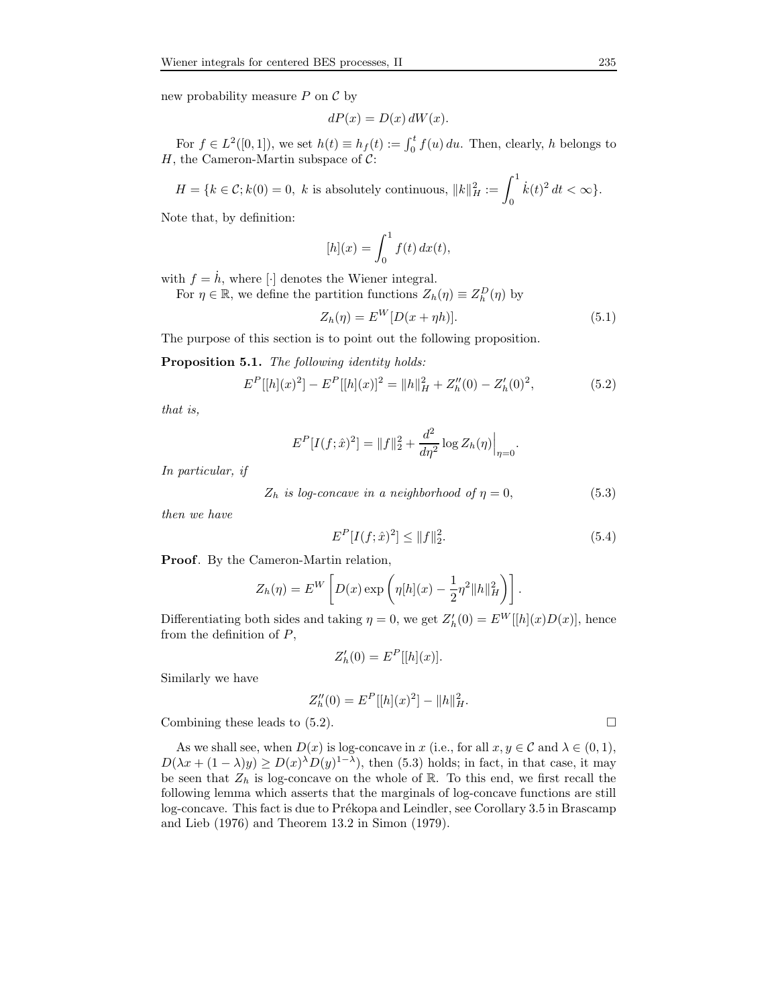new probability measure  $P$  on  $\mathcal C$  by

$$
dP(x) = D(x) dW(x).
$$

For  $f \in L^2([0,1])$ , we set  $h(t) \equiv h_f(t) := \int_0^t f(u) du$ . Then, clearly, h belongs to H, the Cameron-Martin subspace of  $C$ :

$$
H = \{k \in \mathcal{C}; k(0) = 0, \ k \text{ is absolutely continuous}, \ ||k||_H^2 := \int_0^1 \dot{k}(t)^2 dt < \infty\}.
$$

Note that, by definition:

$$
[h](x) = \int_0^1 f(t) dx(t),
$$

with  $f = \dot{h}$ , where [·] denotes the Wiener integral.

For  $\eta \in \mathbb{R}$ , we define the partition functions  $Z_h(\eta) \equiv Z_h^D(\eta)$  by

$$
Z_h(\eta) = E^W[D(x + \eta h)].\tag{5.1}
$$

The purpose of this section is to point out the following proposition.

Proposition 5.1. The following identity holds:

$$
E^{P}[[h](x)^{2}] - E^{P}[[h](x)]^{2} = ||h||_{H}^{2} + Z_{h}''(0) - Z_{h}'(0)^{2},
$$
\n(5.2)

that is,

$$
E^{P}[I(f; \hat{x})^{2}] = ||f||_{2}^{2} + \frac{d^{2}}{d\eta^{2}}\log Z_{h}(\eta)\Big|_{\eta=0}
$$

In particular, if

 $Z_h$  is log-concave in a neighborhood of  $\eta = 0$ , (5.3)

then we have

$$
E^{P}[I(f; \hat{x})^{2}] \le ||f||_{2}^{2}.
$$
\n(5.4)

.

Proof. By the Cameron-Martin relation,

$$
Z_h(\eta) = E^W \left[ D(x) \exp \left( \eta[h](x) - \frac{1}{2} \eta^2 ||h||_H^2 \right) \right].
$$

Differentiating both sides and taking  $\eta = 0$ , we get  $Z'_{h}(0) = E^{W}[[h](x)D(x)]$ , hence from the definition of  $P$ ,

$$
Z'_{h}(0) = E^{P}[[h](x)].
$$

Similarly we have

$$
Z_h''(0) = E^P[[h](x)^2] - ||h||_H^2.
$$

Combining these leads to  $(5.2)$ .

As we shall see, when  $D(x)$  is log-concave in x (i.e., for all  $x, y \in \mathcal{C}$  and  $\lambda \in (0, 1)$ ,  $D(\lambda x + (1 - \lambda)y) \ge D(x)^{\lambda}D(y)^{1-\lambda}$ , then (5.3) holds; in fact, in that case, it may be seen that  $Z_h$  is log-concave on the whole of  $\mathbb R$ . To this end, we first recall the following lemma which asserts that the marginals of log-concave functions are still log-concave. This fact is due to Prékopa and Leindler, see Corollary 3.5 in Brascamp and Lieb (1976) and Theorem 13.2 in Simon (1979).

$$
\overline{}
$$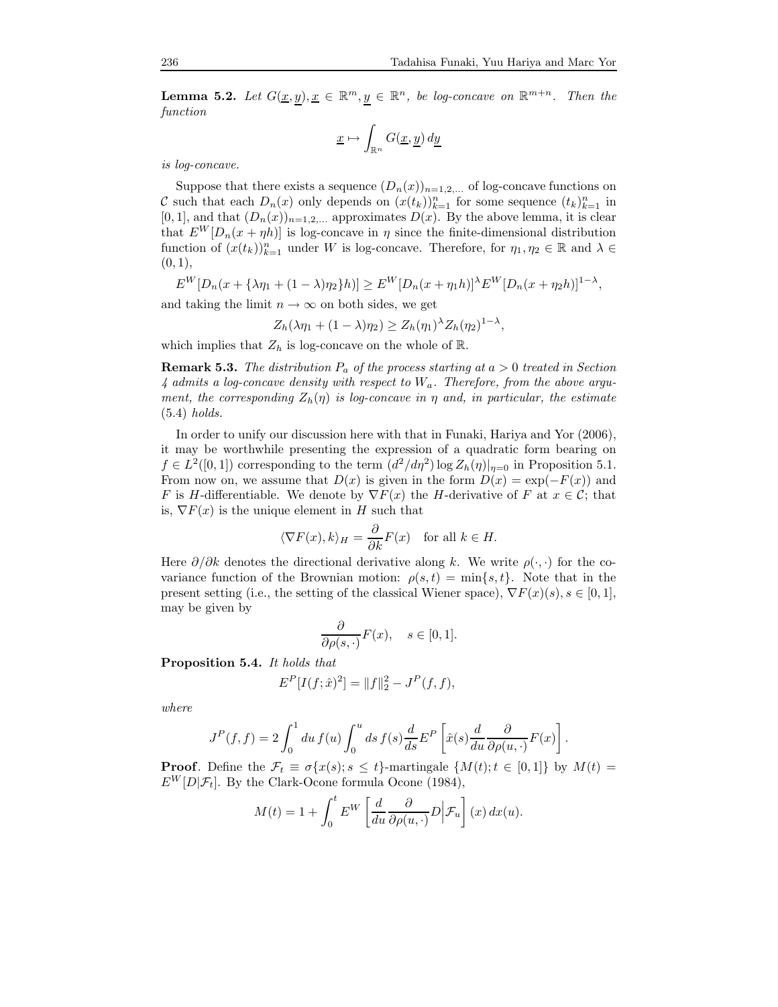**Lemma 5.2.** Let  $G(\underline{x}, \underline{y}), \underline{x} \in \mathbb{R}^m, \underline{y} \in \mathbb{R}^n$ , be log-concave on  $\mathbb{R}^{m+n}$ . Then the function

$$
\underline{x} \mapsto \int_{\mathbb{R}^n} G(\underline{x}, \underline{y}) \, d\underline{y}
$$

is log-concave.

Suppose that there exists a sequence  $(D_n(x))_{n=1,2,...}$  of log-concave functions on C such that each  $D_n(x)$  only depends on  $(x(t_k))_{k=1}^n$  for some sequence  $(t_k)_{k=1}^n$  in  $[0, 1]$ , and that  $(D_n(x))_{n=1,2,...}$  approximates  $D(x)$ . By the above lemma, it is clear that  $E^W[D_n(x + \eta h)]$  is log-concave in  $\eta$  since the finite-dimensional distribution function of  $(x(t_k))_{k=1}^n$  under W is log-concave. Therefore, for  $\eta_1, \eta_2 \in \mathbb{R}$  and  $\lambda \in$  $(0, 1),$ 

$$
E^{W}[D_n(x + {\lambda \eta_1 + (1 - \lambda)\eta_2}h)] \geq E^{W}[D_n(x + \eta_1 h)]^{\lambda}E^{W}[D_n(x + \eta_2 h)]^{1 - \lambda},
$$

and taking the limit  $n \to \infty$  on both sides, we get

$$
Z_h(\lambda \eta_1 + (1 - \lambda)\eta_2) \ge Z_h(\eta_1)^{\lambda} Z_h(\eta_2)^{1 - \lambda},
$$

which implies that  $Z_h$  is log-concave on the whole of  $\mathbb{R}$ .

**Remark 5.3.** The distribution  $P_a$  of the process starting at  $a > 0$  treated in Section  $\lambda$  admits a log-concave density with respect to  $W_a$ . Therefore, from the above argument, the corresponding  $Z_h(\eta)$  is log-concave in  $\eta$  and, in particular, the estimate (5.4) holds.

In order to unify our discussion here with that in Funaki, Hariya and Yor (2006), it may be worthwhile presenting the expression of a quadratic form bearing on  $f \in L^2([0,1])$  corresponding to the term  $(d^2/d\eta^2) \log Z_h(\eta)|_{\eta=0}$  in Proposition 5.1. From now on, we assume that  $D(x)$  is given in the form  $D(x) = \exp(-F(x))$  and F is H-differentiable. We denote by  $\nabla F(x)$  the H-derivative of F at  $x \in \mathcal{C}$ ; that is,  $\nabla F(x)$  is the unique element in H such that

$$
\langle \nabla F(x), k \rangle_H = \frac{\partial}{\partial k} F(x)
$$
 for all  $k \in H$ .

Here  $\partial/\partial k$  denotes the directional derivative along k. We write  $\rho(\cdot, \cdot)$  for the covariance function of the Brownian motion:  $\rho(s,t) = \min\{s,t\}$ . Note that in the present setting (i.e., the setting of the classical Wiener space),  $\nabla F(x)(s)$ ,  $s \in [0, 1]$ , may be given by

$$
\frac{\partial}{\partial \rho(s, \cdot)} F(x), \quad s \in [0, 1].
$$

Proposition 5.4. It holds that

$$
E^{P}[I(f; \hat{x})^{2}] = ||f||_{2}^{2} - J^{P}(f, f),
$$

where

$$
J^{P}(f, f) = 2 \int_0^1 du f(u) \int_0^u ds f(s) \frac{d}{ds} E^{P} \left[ \hat{x}(s) \frac{d}{du} \frac{\partial}{\partial \rho(u, \cdot)} F(x) \right].
$$

**Proof.** Define the  $\mathcal{F}_t \equiv \sigma\{x(s); s \leq t\}$ -martingale  $\{M(t); t \in [0, 1]\}$  by  $M(t) =$  $E^W[D|\mathcal{F}_t]$ . By the Clark-Ocone formula Ocone (1984),

$$
M(t) = 1 + \int_0^t E^W \left[ \frac{d}{du} \frac{\partial}{\partial \rho(u, \cdot)} D \middle| \mathcal{F}_u \right] (x) dx(u).
$$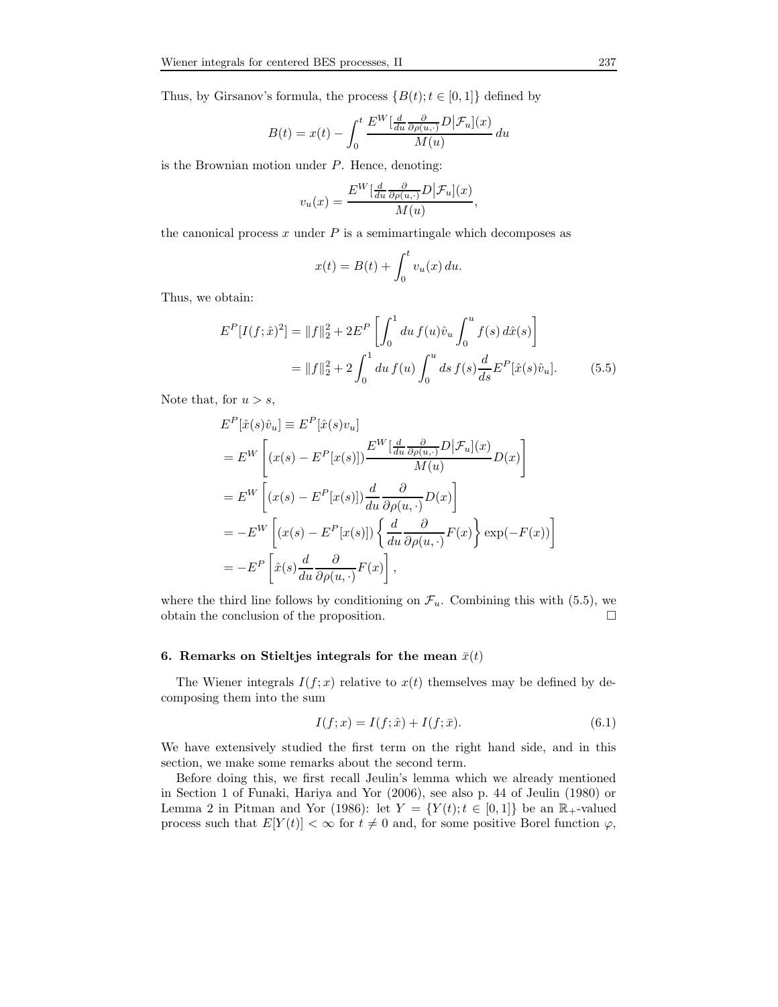Thus, by Girsanov's formula, the process  $\{B(t); t \in [0,1]\}$  defined by

$$
B(t) = x(t) - \int_0^t \frac{E^W\left[\frac{d}{du}\frac{\partial}{\partial \rho(u,\cdot)}D\right] \mathcal{F}_u](x)}{M(u)} du
$$

is the Brownian motion under  $P$ . Hence, denoting:

$$
v_u(x) = \frac{E^W\left[\frac{d}{du}\frac{\partial}{\partial \rho(u,\cdot)}D\right]\mathcal{F}_u](x)}{M(u)},
$$

the canonical process  $x$  under  $P$  is a semimartingale which decomposes as

$$
x(t) = B(t) + \int_0^t v_u(x) du.
$$

Thus, we obtain:

$$
E^{P}[I(f; \hat{x})^{2}] = ||f||_{2}^{2} + 2E^{P} \left[ \int_{0}^{1} du f(u)\hat{v}_{u} \int_{0}^{u} f(s) d\hat{x}(s) \right]
$$

$$
= ||f||_{2}^{2} + 2\int_{0}^{1} du f(u) \int_{0}^{u} ds f(s) \frac{d}{ds} E^{P}[\hat{x}(s)\hat{v}_{u}]. \tag{5.5}
$$

Note that, for  $u > s$ ,

$$
E^{P}[\hat{x}(s)\hat{v}_{u}] \equiv E^{P}[\hat{x}(s)v_{u}]
$$
  
\n
$$
= E^{W} \left[ (x(s) - E^{P}[x(s)]) \frac{E^{W}[\frac{d}{du} \frac{\partial}{\partial \rho(u, \cdot)} D | \mathcal{F}_{u}](x)}{M(u)} D(x) \right]
$$
  
\n
$$
= E^{W} \left[ (x(s) - E^{P}[x(s)]) \frac{d}{du} \frac{\partial}{\partial \rho(u, \cdot)} D(x) \right]
$$
  
\n
$$
= -E^{W} \left[ (x(s) - E^{P}[x(s)]) \left\{ \frac{d}{du} \frac{\partial}{\partial \rho(u, \cdot)} F(x) \right\} \exp(-F(x)) \right]
$$
  
\n
$$
= -E^{P} \left[ \hat{x}(s) \frac{d}{du} \frac{\partial}{\partial \rho(u, \cdot)} F(x) \right],
$$

where the third line follows by conditioning on  $\mathcal{F}_u$ . Combining this with (5.5), we obtain the conclusion of the proposition. obtain the conclusion of the proposition.

#### 6. Remarks on Stieltjes integrals for the mean  $\bar{x}(t)$

The Wiener integrals  $I(f; x)$  relative to  $x(t)$  themselves may be defined by decomposing them into the sum

$$
I(f; x) = I(f; \hat{x}) + I(f; \bar{x}).
$$
\n(6.1)

We have extensively studied the first term on the right hand side, and in this section, we make some remarks about the second term.

Before doing this, we first recall Jeulin's lemma which we already mentioned in Section 1 of Funaki, Hariya and Yor (2006), see also p. 44 of Jeulin (1980) or Lemma 2 in Pitman and Yor (1986): let  $Y = \{Y(t); t \in [0,1]\}$  be an  $\mathbb{R}_+$ -valued process such that  $E[Y(t)] < \infty$  for  $t \neq 0$  and, for some positive Borel function  $\varphi$ ,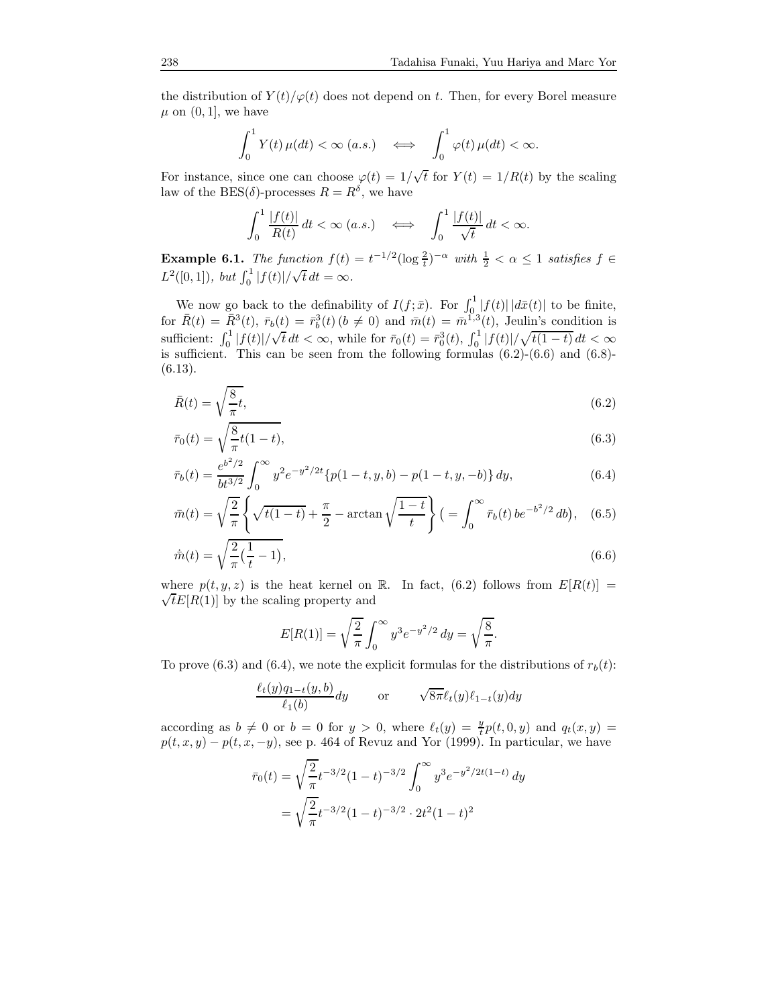the distribution of  $Y(t)/\varphi(t)$  does not depend on t. Then, for every Borel measure  $\mu$  on  $(0, 1]$ , we have

$$
\int_0^1 Y(t) \,\mu(dt) < \infty \text{ (a.s.)} \quad \Longleftrightarrow \quad \int_0^1 \varphi(t) \,\mu(dt) < \infty.
$$

For instance, since one can choose  $\varphi(t) = 1/\sqrt{t}$  for  $Y(t) = 1/R(t)$  by the scaling law of the BES( $\delta$ )-processes  $R = R^{\delta}$ , we have

$$
\int_0^1 \frac{|f(t)|}{R(t)} dt < \infty \ (a.s.) \quad \Longleftrightarrow \quad \int_0^1 \frac{|f(t)|}{\sqrt{t}} dt < \infty.
$$

**Example 6.1.** The function  $f(t) = t^{-1/2} (\log \frac{2}{t})^{-\alpha}$  with  $\frac{1}{2} < \alpha \leq 1$  satisfies  $f \in$  $L^2([0,1]), \text{ but } \int_0^1 |f(t)| / \sqrt{t} dt = \infty.$ 

We now go back to the definability of  $I(f; \bar{x})$ . For  $\int_0^1 |f(t)| |d\bar{x}(t)|$  to be finite, for  $\bar{R}(t) = \bar{R}^{3}(t), \ \bar{r}_{b}(t) = \bar{r}_{b}^{3}(t)$   $(b \neq 0)$  and  $\bar{m}(t) = \bar{m}^{1,3}(t)$ , Jeulin's condition is sufficient:  $\int_0^1 |f(t)|/\sqrt{t} dt < \infty$ , while for  $\bar{r}_0(t) = \bar{r}_0^3(t)$ ,  $\int_0^1 |f(t)|/\sqrt{t(1-t)} dt < \infty$ is sufficient. This can be seen from the following formulas  $(6.2)-(6.6)$  and  $(6.8)$ -(6.13).

$$
\bar{R}(t) = \sqrt{\frac{8}{\pi}t},\tag{6.2}
$$

$$
\bar{r}_0(t) = \sqrt{\frac{8}{\pi}}t(1-t),
$$
\n(6.3)

$$
\bar{r}_b(t) = \frac{e^{b^2/2}}{bt^{3/2}} \int_0^\infty y^2 e^{-y^2/2t} \{p(1-t, y, b) - p(1-t, y, -b)\} dy,\tag{6.4}
$$

$$
\bar{m}(t) = \sqrt{\frac{2}{\pi}} \left\{ \sqrt{t(1-t)} + \frac{\pi}{2} - \arctan\sqrt{\frac{1-t}{t}} \right\} \left( = \int_0^\infty \bar{r}_b(t) \, be^{-b^2/2} \, db \right), \tag{6.5}
$$

$$
\dot{\bar{m}}(t) = \sqrt{\frac{2}{\pi} \left(\frac{1}{t} - 1\right)},\tag{6.6}
$$

where  $p(t, y, z)$  is the heat kernel on R. In fact, (6.2) follows from  $E[R(t)] =$  $\sqrt{t}E[R(1)]$  by the scaling property and

$$
E[R(1)] = \sqrt{\frac{2}{\pi}} \int_0^\infty y^3 e^{-y^2/2} dy = \sqrt{\frac{8}{\pi}}.
$$

To prove (6.3) and (6.4), we note the explicit formulas for the distributions of  $r_b(t)$ :

$$
\frac{\ell_t(y)q_{1-t}(y,b)}{\ell_1(b)}dy \quad \text{or} \quad \sqrt{8\pi}\ell_t(y)\ell_{1-t}(y)dy
$$

according as  $b \neq 0$  or  $b = 0$  for  $y > 0$ , where  $\ell_t(y) = \frac{y}{t}p(t, 0, y)$  and  $q_t(x, y) =$  $p(t, x, y) - p(t, x, -y)$ , see p. 464 of Revuz and Yor (1999). In particular, we have

$$
\bar{r}_0(t) = \sqrt{\frac{2}{\pi}} t^{-3/2} (1-t)^{-3/2} \int_0^\infty y^3 e^{-y^2/2t(1-t)} dy
$$

$$
= \sqrt{\frac{2}{\pi}} t^{-3/2} (1-t)^{-3/2} \cdot 2t^2 (1-t)^2
$$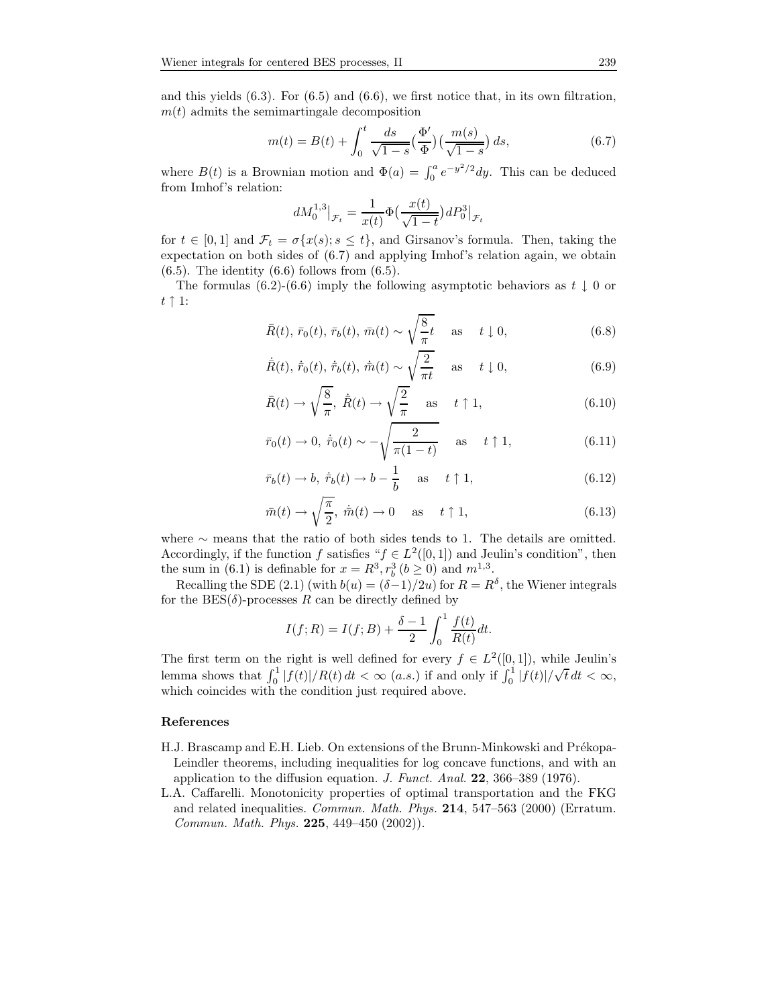and this yields  $(6.3)$ . For  $(6.5)$  and  $(6.6)$ , we first notice that, in its own filtration,  $m(t)$  admits the semimartingale decomposition

$$
m(t) = B(t) + \int_0^t \frac{ds}{\sqrt{1-s}} \left(\frac{\Phi'}{\Phi}\right) \left(\frac{m(s)}{\sqrt{1-s}}\right) ds, \tag{6.7}
$$

where  $B(t)$  is a Brownian motion and  $\Phi(a) = \int_0^a e^{-y^2/2} dy$ . This can be deduced from Imhof's relation:

$$
dM_0^{1,3}|_{\mathcal{F}_t} = \frac{1}{x(t)} \Phi\left(\frac{x(t)}{\sqrt{1-t}}\right) dP_0^3|_{\mathcal{F}_t}
$$

for  $t \in [0, 1]$  and  $\mathcal{F}_t = \sigma\{x(s); s \leq t\}$ , and Girsanov's formula. Then, taking the expectation on both sides of (6.7) and applying Imhof's relation again, we obtain  $(6.5)$ . The identity  $(6.6)$  follows from  $(6.5)$ .

The formulas (6.2)-(6.6) imply the following asymptotic behaviors as  $t \downarrow 0$  or  $t \uparrow 1$ :

$$
\bar{R}(t), \bar{r}_0(t), \bar{r}_b(t), \bar{m}(t) \sim \sqrt{\frac{8}{\pi}}t \quad \text{as} \quad t \downarrow 0,
$$
\n(6.8)

$$
\dot{R}(t), \dot{\bar{r}}_0(t), \dot{\bar{r}}_b(t), \dot{\bar{m}}(t) \sim \sqrt{\frac{2}{\pi t}} \quad \text{as} \quad t \downarrow 0,
$$
\n(6.9)

$$
\bar{R}(t) \to \sqrt{\frac{8}{\pi}}, \ \dot{\bar{R}}(t) \to \sqrt{\frac{2}{\pi}} \quad \text{as} \quad t \uparrow 1,
$$
\n(6.10)

$$
\bar{r}_0(t) \to 0, \ \dot{\bar{r}}_0(t) \sim -\sqrt{\frac{2}{\pi(1-t)}} \quad \text{as} \quad t \uparrow 1,
$$
\n(6.11)

$$
\bar{r}_b(t) \to b, \ \dot{\bar{r}}_b(t) \to b - \frac{1}{b}
$$
 as  $t \uparrow 1,$  (6.12)

$$
\bar{m}(t) \to \sqrt{\frac{\pi}{2}}, \ \dot{\bar{m}}(t) \to 0 \quad \text{as} \quad t \uparrow 1,
$$
\n(6.13)

where ∼ means that the ratio of both sides tends to 1. The details are omitted. Accordingly, if the function f satisfies " $f \in L^2([0,1])$  and Jeulin's condition", then the sum in (6.1) is definable for  $x = R^3, r_b^3$  ( $b \ge 0$ ) and  $m^{1,3}$ .

Recalling the SDE (2.1) (with  $b(u) = (\delta - 1)/2u$ ) for  $R = R^{\delta}$ , the Wiener integrals for the BES( $\delta$ )-processes R can be directly defined by

$$
I(f; R) = I(f; B) + \frac{\delta - 1}{2} \int_0^1 \frac{f(t)}{R(t)} dt.
$$

The first term on the right is well defined for every  $f \in L^2([0,1])$ , while Jeulin's lemma shows that  $\int_0^1 |f(t)|/R(t) dt < \infty$  (*a.s.*) if and only if  $\int_0^1 |f(t)|/\sqrt{t} dt < \infty$ , which coincides with the condition just required above.

## References

- H.J. Brascamp and E.H. Lieb. On extensions of the Brunn-Minkowski and Prékopa-Leindler theorems, including inequalities for log concave functions, and with an application to the diffusion equation. J. Funct. Anal. 22, 366–389 (1976).
- L.A. Caffarelli. Monotonicity properties of optimal transportation and the FKG and related inequalities. Commun. Math. Phys. 214, 547–563 (2000) (Erratum. Commun. Math. Phys. 225, 449–450 (2002)).